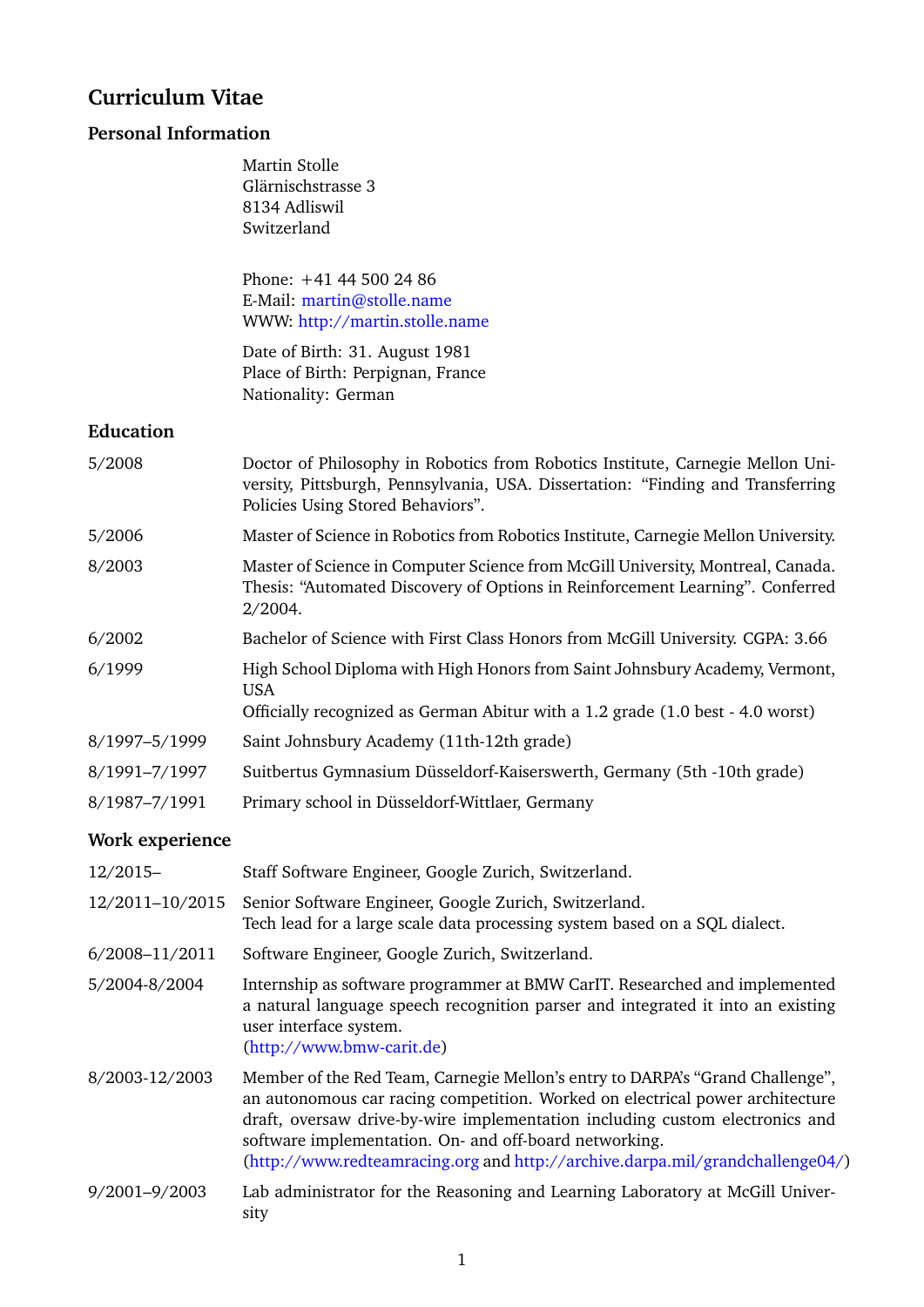# **Curriculum Vitae**

# **Personal Information**

Martin Stolle Glärnischstrasse 3 8134 Adliswil Switzerland

Phone: +41 44 500 24 86 E-Mail: [martin@stolle.name](mailto:martin@stolle.name) WWW: <http://martin.stolle.name>

Date of Birth: 31. August 1981 Place of Birth: Perpignan, France Nationality: German

## **Education**

| 5/2008            | Doctor of Philosophy in Robotics from Robotics Institute, Carnegie Mellon Uni-<br>versity, Pittsburgh, Pennsylvania, USA. Dissertation: "Finding and Transferring<br>Policies Using Stored Behaviors".                                                                                                                                                                                    |
|-------------------|-------------------------------------------------------------------------------------------------------------------------------------------------------------------------------------------------------------------------------------------------------------------------------------------------------------------------------------------------------------------------------------------|
| 5/2006            | Master of Science in Robotics from Robotics Institute, Carnegie Mellon University.                                                                                                                                                                                                                                                                                                        |
| 8/2003            | Master of Science in Computer Science from McGill University, Montreal, Canada.<br>Thesis: "Automated Discovery of Options in Reinforcement Learning". Conferred<br>2/2004.                                                                                                                                                                                                               |
| 6/2002            | Bachelor of Science with First Class Honors from McGill University. CGPA: 3.66                                                                                                                                                                                                                                                                                                            |
| 6/1999            | High School Diploma with High Honors from Saint Johnsbury Academy, Vermont,<br>USA<br>Officially recognized as German Abitur with a 1.2 grade (1.0 best - 4.0 worst)                                                                                                                                                                                                                      |
| 8/1997-5/1999     | Saint Johnsbury Academy (11th-12th grade)                                                                                                                                                                                                                                                                                                                                                 |
| 8/1991-7/1997     | Suitbertus Gymnasium Düsseldorf-Kaiserswerth, Germany (5th -10th grade)                                                                                                                                                                                                                                                                                                                   |
| 8/1987-7/1991     | Primary school in Düsseldorf-Wittlaer, Germany                                                                                                                                                                                                                                                                                                                                            |
| Work experience   |                                                                                                                                                                                                                                                                                                                                                                                           |
| $12/2015-$        | Staff Software Engineer, Google Zurich, Switzerland.                                                                                                                                                                                                                                                                                                                                      |
| 12/2011-10/2015   | Senior Software Engineer, Google Zurich, Switzerland.<br>Tech lead for a large scale data processing system based on a SQL dialect.                                                                                                                                                                                                                                                       |
| 6/2008-11/2011    | Software Engineer, Google Zurich, Switzerland.                                                                                                                                                                                                                                                                                                                                            |
| 5/2004-8/2004     | Internship as software programmer at BMW CarIT. Researched and implemented<br>a natural language speech recognition parser and integrated it into an existing<br>user interface system.<br>(http://www.bmw-carit.de)                                                                                                                                                                      |
| 8/2003-12/2003    | Member of the Red Team, Carnegie Mellon's entry to DARPA's "Grand Challenge",<br>an autonomous car racing competition. Worked on electrical power architecture<br>draft, oversaw drive-by-wire implementation including custom electronics and<br>software implementation. On- and off-board networking.<br>(http://www.redteamracing.org and http://archive.darpa.mil/grandchallenge04/) |
| $9/2001 - 9/2003$ | Lab administrator for the Reasoning and Learning Laboratory at McGill Univer-<br>sity                                                                                                                                                                                                                                                                                                     |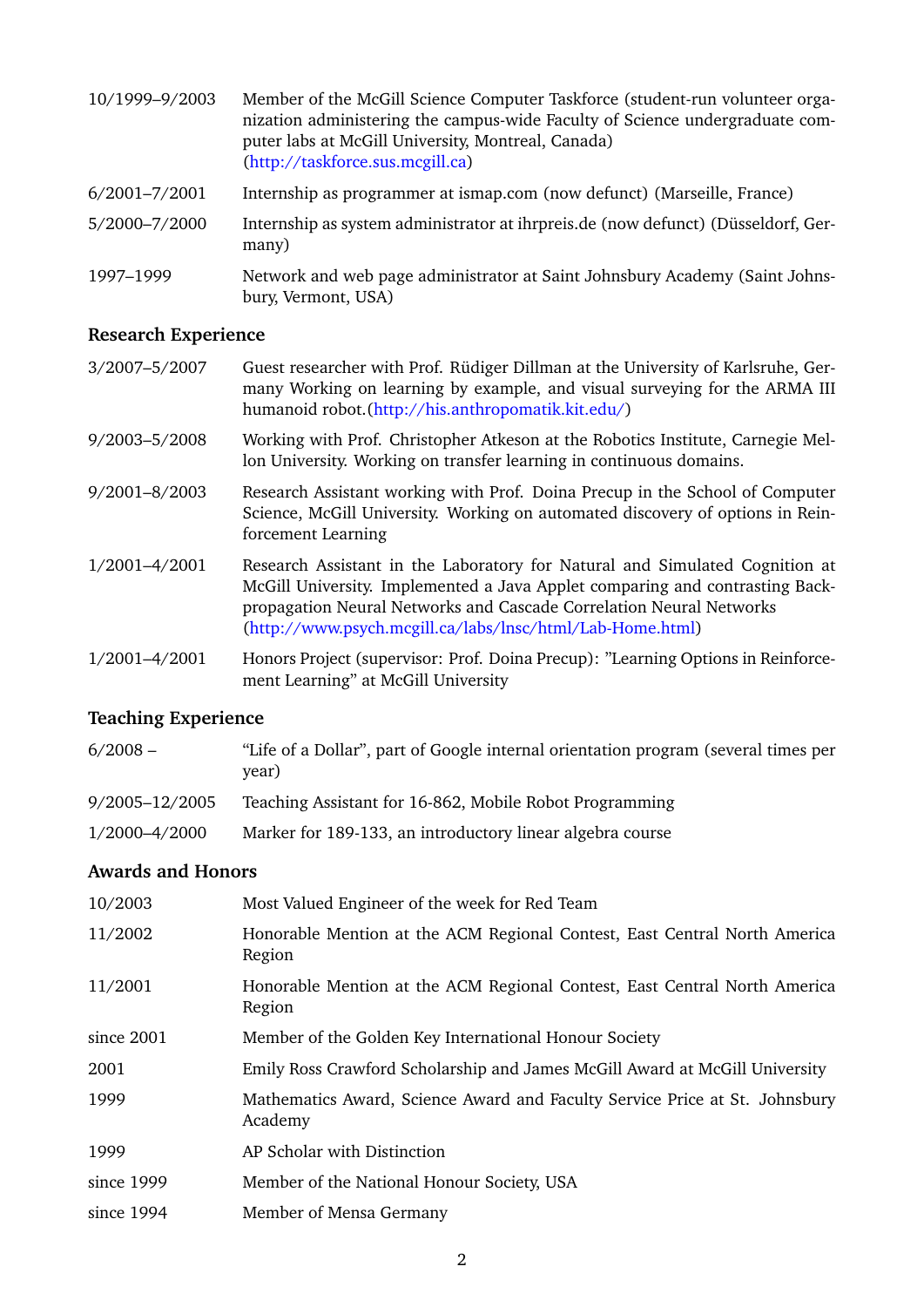| 10/1999-9/2003    | Member of the McGill Science Computer Taskforce (student-run volunteer orga-<br>nization administering the campus-wide Faculty of Science undergraduate com-<br>puter labs at McGill University, Montreal, Canada)<br>(http://taskforce.sus.mcgill.ca) |
|-------------------|--------------------------------------------------------------------------------------------------------------------------------------------------------------------------------------------------------------------------------------------------------|
| $6/2001 - 7/2001$ | Internship as programmer at ismap.com (now defunct) (Marseille, France)                                                                                                                                                                                |
| 5/2000-7/2000     | Internship as system administrator at ihrpreis.de (now defunct) (Düsseldorf, Ger-<br>many)                                                                                                                                                             |
| 1997-1999         | Network and web page administrator at Saint Johnsbury Academy (Saint Johns-<br>bury, Vermont, USA)                                                                                                                                                     |

#### **Research Experience**

- 3/2007–5/2007 Guest researcher with Prof. Rüdiger Dillman at the University of Karlsruhe, Germany Working on learning by example, and visual surveying for the ARMA III humanoid robot.[\(http://his.anthropomatik.kit.edu/\)](http://his.anthropomatik.kit.edu/)
- 9/2003–5/2008 Working with Prof. Christopher Atkeson at the Robotics Institute, Carnegie Mellon University. Working on transfer learning in continuous domains.
- 9/2001–8/2003 Research Assistant working with Prof. Doina Precup in the School of Computer Science, McGill University. Working on automated discovery of options in Reinforcement Learning
- 1/2001–4/2001 Research Assistant in the Laboratory for Natural and Simulated Cognition at McGill University. Implemented a Java Applet comparing and contrasting Backpropagation Neural Networks and Cascade Correlation Neural Networks [\(http://www.psych.mcgill.ca/labs/lnsc/html/Lab-Home.html\)](http://www.psych.mcgill.ca/labs/lnsc/html/Lab-Home.html)
- 1/2001–4/2001 Honors Project (supervisor: Prof. Doina Precup): "Learning Options in Reinforcement Learning" at McGill University

#### **Teaching Experience**

| $6/2008 -$     | "Life of a Dollar", part of Google internal orientation program (several times per<br>vear) |
|----------------|---------------------------------------------------------------------------------------------|
| 9/2005-12/2005 | Teaching Assistant for 16-862, Mobile Robot Programming                                     |
| 1/2000-4/2000  | Marker for 189-133, an introductory linear algebra course                                   |

### **Awards and Honors**

| 10/2003    | Most Valued Engineer of the week for Red Team                                          |
|------------|----------------------------------------------------------------------------------------|
| 11/2002    | Honorable Mention at the ACM Regional Contest, East Central North America<br>Region    |
| 11/2001    | Honorable Mention at the ACM Regional Contest, East Central North America<br>Region    |
| since 2001 | Member of the Golden Key International Honour Society                                  |
| 2001       | Emily Ross Crawford Scholarship and James McGill Award at McGill University            |
| 1999       | Mathematics Award, Science Award and Faculty Service Price at St. Johnsbury<br>Academy |
| 1999       | AP Scholar with Distinction                                                            |
| since 1999 | Member of the National Honour Society, USA                                             |
| since 1994 | Member of Mensa Germany                                                                |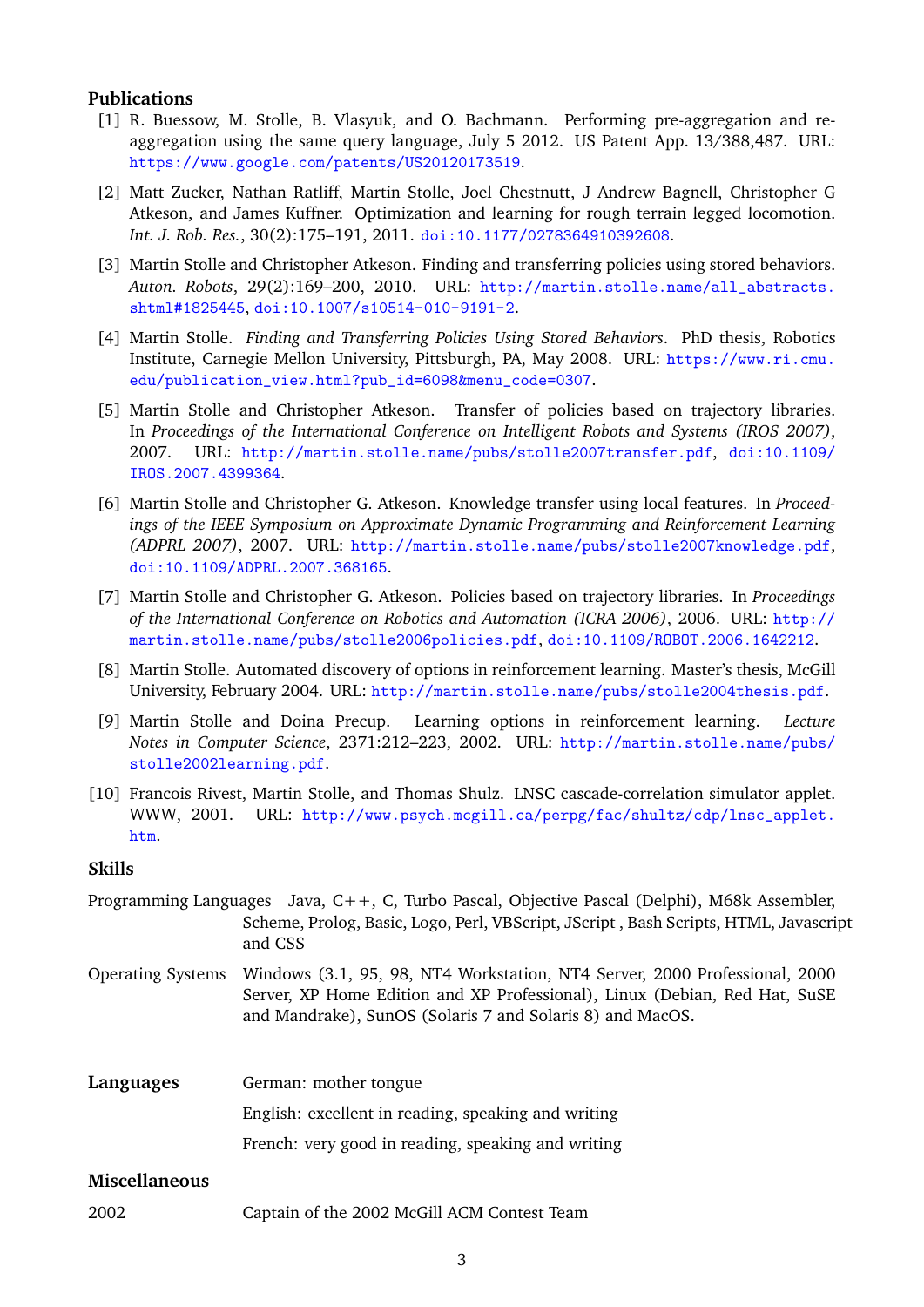#### **Publications**

- [1] R. Buessow, M. Stolle, B. Vlasyuk, and O. Bachmann. Performing pre-aggregation and reaggregation using the same query language, July 5 2012. US Patent App. 13/388,487. URL: <https://www.google.com/patents/US20120173519>.
- [2] Matt Zucker, Nathan Ratliff, Martin Stolle, Joel Chestnutt, J Andrew Bagnell, Christopher G Atkeson, and James Kuffner. Optimization and learning for rough terrain legged locomotion. *Int. J. Rob. Res.*, 30(2):175–191, 2011. [doi:10.1177/0278364910392608](http://dx.doi.org/10.1177/0278364910392608).
- [3] Martin Stolle and Christopher Atkeson. Finding and transferring policies using stored behaviors. *Auton. Robots*, 29(2):169–200, 2010. URL: [http://martin.stolle.name/all\\_abstracts.](http://martin.stolle.name/all_abstracts.shtml#1825445) [shtml#1825445](http://martin.stolle.name/all_abstracts.shtml#1825445), [doi:10.1007/s10514-010-9191-2](http://dx.doi.org/10.1007/s10514-010-9191-2).
- [4] Martin Stolle. *Finding and Transferring Policies Using Stored Behaviors*. PhD thesis, Robotics Institute, Carnegie Mellon University, Pittsburgh, PA, May 2008. URL: [https://www.ri.cmu.](https://www.ri.cmu.edu/publication_view.html?pub_id=6098&menu_code=0307) [edu/publication\\_view.html?pub\\_id=6098&menu\\_code=0307](https://www.ri.cmu.edu/publication_view.html?pub_id=6098&menu_code=0307).
- [5] Martin Stolle and Christopher Atkeson. Transfer of policies based on trajectory libraries. In *Proceedings of the International Conference on Intelligent Robots and Systems (IROS 2007)*, 2007. URL: <http://martin.stolle.name/pubs/stolle2007transfer.pdf>, [doi:10.1109/](http://dx.doi.org/10.1109/IROS.2007.4399364) [IROS.2007.4399364](http://dx.doi.org/10.1109/IROS.2007.4399364).
- [6] Martin Stolle and Christopher G. Atkeson. Knowledge transfer using local features. In *Proceedings of the IEEE Symposium on Approximate Dynamic Programming and Reinforcement Learning (ADPRL 2007)*, 2007. URL: <http://martin.stolle.name/pubs/stolle2007knowledge.pdf>, [doi:10.1109/ADPRL.2007.368165](http://dx.doi.org/10.1109/ADPRL.2007.368165).
- [7] Martin Stolle and Christopher G. Atkeson. Policies based on trajectory libraries. In *Proceedings of the International Conference on Robotics and Automation (ICRA 2006)*, 2006. URL: [http://](http://martin.stolle.name/pubs/stolle2006policies.pdf) [martin.stolle.name/pubs/stolle2006policies.pdf](http://martin.stolle.name/pubs/stolle2006policies.pdf), [doi:10.1109/ROBOT.2006.1642212](http://dx.doi.org/10.1109/ROBOT.2006.1642212).
- [8] Martin Stolle. Automated discovery of options in reinforcement learning. Master's thesis, McGill University, February 2004. URL: <http://martin.stolle.name/pubs/stolle2004thesis.pdf>.
- [9] Martin Stolle and Doina Precup. Learning options in reinforcement learning. *Lecture Notes in Computer Science*, 2371:212–223, 2002. URL: [http://martin.stolle.name/pubs/](http://martin.stolle.name/pubs/stolle2002learning.pdf) [stolle2002learning.pdf](http://martin.stolle.name/pubs/stolle2002learning.pdf).
- [10] Francois Rivest, Martin Stolle, and Thomas Shulz. LNSC cascade-correlation simulator applet. WWW, 2001. URL: [http://www.psych.mcgill.ca/perpg/fac/shultz/cdp/lnsc\\_applet.](http://www.psych.mcgill.ca/perpg/fac/shultz/cdp/lnsc_applet.htm) [htm](http://www.psych.mcgill.ca/perpg/fac/shultz/cdp/lnsc_applet.htm).

#### **Skills**

|                          | Programming Languages Java, C++, C, Turbo Pascal, Objective Pascal (Delphi), M68k Assembler,<br>Scheme, Prolog, Basic, Logo, Perl, VBScript, JScript, Bash Scripts, HTML, Javascript<br>and CSS                       |
|--------------------------|-----------------------------------------------------------------------------------------------------------------------------------------------------------------------------------------------------------------------|
| <b>Operating Systems</b> | Windows (3.1, 95, 98, NT4 Workstation, NT4 Server, 2000 Professional, 2000<br>Server, XP Home Edition and XP Professional), Linux (Debian, Red Hat, SuSE<br>and Mandrake), SunOS (Solaris 7 and Solaris 8) and MacOS. |
| Languages                | German: mother tongue<br>English: excellent in reading, speaking and writing<br>French: very good in reading, speaking and writing                                                                                    |
|                          |                                                                                                                                                                                                                       |

#### **Miscellaneous**

| 2002 | Captain of the 2002 McGill ACM Contest Team |
|------|---------------------------------------------|
|------|---------------------------------------------|